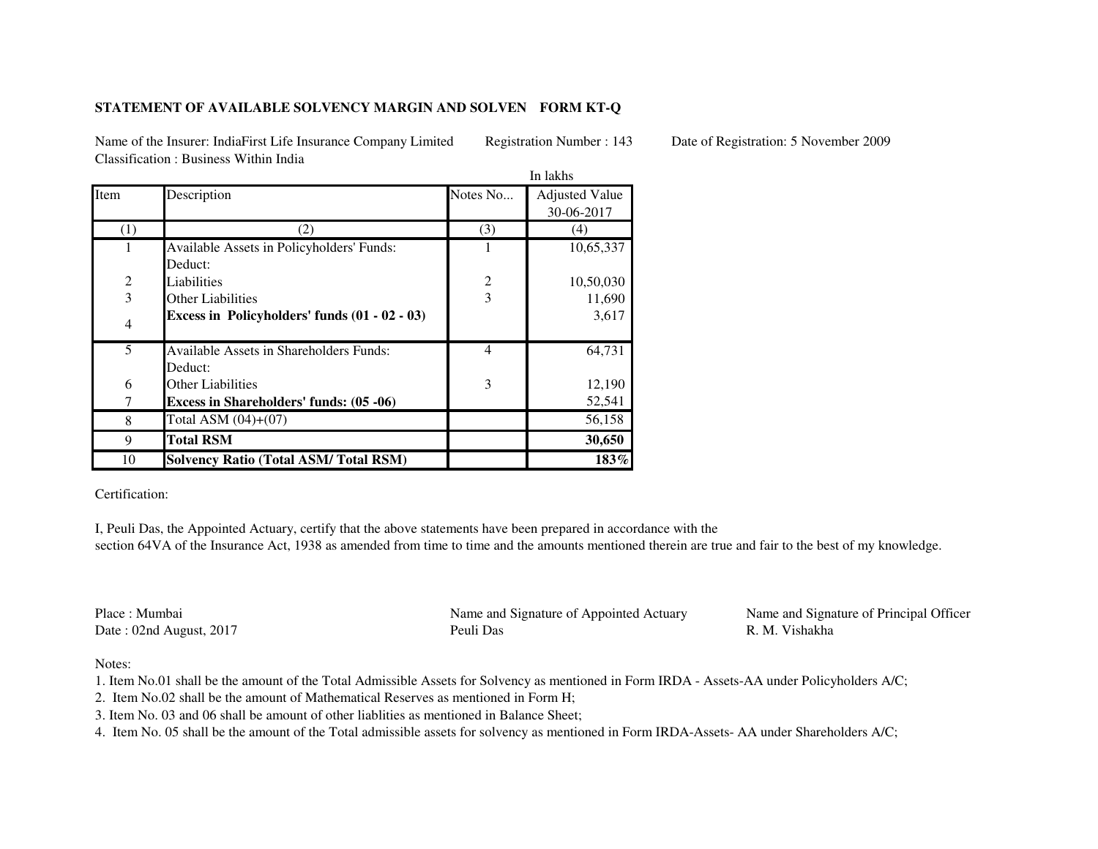## **STATEMENT OF AVAILABLE SOLVENCY MARGIN AND SOLVEN FORM KT-Q**

Name of the Insurer: IndiaFirst Life Insurance Company Limited Registration Number : 143 Date of Registration: 5 November 2009Classification : Business Within India

|                |                                                 |                | In lakhs              |  |
|----------------|-------------------------------------------------|----------------|-----------------------|--|
| Item           | Description                                     | Notes No       | <b>Adjusted Value</b> |  |
|                |                                                 |                | 30-06-2017            |  |
| (1)            | $\mathcal{L}$                                   | (3)            | (4)                   |  |
|                | Available Assets in Policyholders' Funds:       |                | 10,65,337             |  |
|                | Deduct:                                         |                |                       |  |
| $\overline{c}$ | Liabilities                                     | 2              | 10,50,030             |  |
| $\overline{3}$ | <b>Other Liabilities</b>                        | $\overline{3}$ | 11,690                |  |
| $\overline{4}$ | Excess in Policyholders' funds $(01 - 02 - 03)$ |                | 3,617                 |  |
| 5              | <b>Available Assets in Shareholders Funds:</b>  | $\overline{4}$ | 64,731                |  |
|                | Deduct:                                         |                |                       |  |
| 6              | <b>Other Liabilities</b>                        | 3              | 12,190                |  |
| 7              | <b>Excess in Shareholders' funds: (05 -06)</b>  |                | 52,541                |  |
| 8              | Total ASM $(04)+(07)$                           |                | 56,158                |  |
| 9              | <b>Total RSM</b>                                |                | 30,650                |  |
| 10             | <b>Solvency Ratio (Total ASM/Total RSM)</b>     |                | $183\%$               |  |

Certification:

I, Peuli Das, the Appointed Actuary, certify that the above statements have been prepared in accordance with the section 64VA of the Insurance Act, 1938 as amended from time to time and the amounts mentioned therein are true and fair to the best of my knowledge.

Place : MumbaiDate : 02nd August, 2017 Peuli Das

Name and Signature of Appointed Actuary Name and Signature of Principal Officer

R. M. Vishakha

Notes:

1. Item No.01 shall be the amount of the Total Admissible Assets for Solvency as mentioned in Form IRDA - Assets-AA under Policyholders A/C;

2. Item No.02 shall be the amount of Mathematical Reserves as mentioned in Form H;

3. Item No. 03 and 06 shall be amount of other liablities as mentioned in Balance Sheet;

4. Item No. 05 shall be the amount of the Total admissible assets for solvency as mentioned in Form IRDA-Assets- AA under Shareholders A/C;